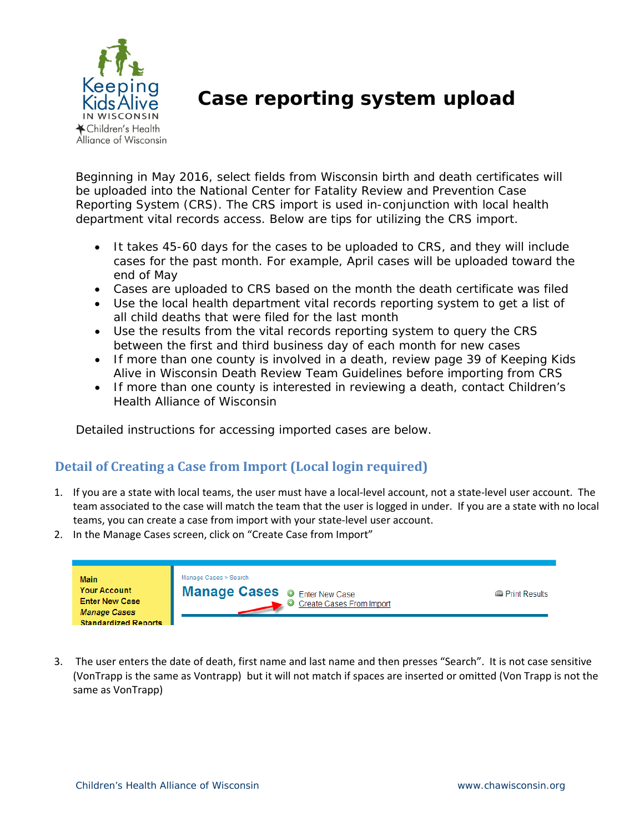

## **Case reporting system upload**

Beginning in May 2016, select fields from Wisconsin birth and death certificates will be uploaded into the National Center for Fatality Review and Prevention Case Reporting System (CRS). The CRS import is used in-conjunction with local health department vital records access. Below are tips for utilizing the CRS import.

- It takes 45-60 days for the cases to be uploaded to CRS, and they will include cases for the past month. For example, April cases will be uploaded toward the end of May
- Cases are uploaded to CRS based on the month the death certificate was filed
- Use the local health department vital records reporting system to get a list of all child deaths that were filed for the last month
- Use the results from the vital records reporting system to query the CRS between the first and third business day of each month for new cases
- If more than one county is involved in a death, review page 39 of Keeping Kids Alive in Wisconsin Death Review Team Guidelines before importing from CRS
- If more than one county is interested in reviewing a death, contact Children's Health Alliance of Wisconsin

Detailed instructions for accessing imported cases are below.

## **Detail of Creating a Case from Import (Local login required)**

- 1. If you are a state with local teams, the user must have a local‐level account, not a state‐level user account. The team associated to the case will match the team that the user is logged in under. If you are a state with no local teams, you can create a case from import with your state‐level user account.
- 2. In the Manage Cases screen, click on "Create Case from Import"

| <b>Main</b>                                                         | Manage Cases > Search                                            |                         |
|---------------------------------------------------------------------|------------------------------------------------------------------|-------------------------|
| <b>Your Account</b><br><b>Enter New Case</b><br><b>Manage Cases</b> | <b>Manage Cases © Enter New Case</b><br>Create Cases From Import | <b>In Print Results</b> |
| <b>Standardized Reports</b>                                         |                                                                  |                         |

3. The user enters the date of death, first name and last name and then presses "Search". It is not case sensitive (VonTrapp is the same as Vontrapp) but it will not match if spaces are inserted or omitted (Von Trapp is not the same as VonTrapp)